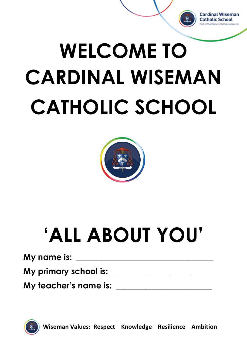

## **WELCOME TO CARDINAL WISEMAN CATHOLIC SCHOOL**



## **'ALL ABOUT YOU'**

**My name is: \_\_\_\_\_\_\_\_\_\_\_\_\_\_\_\_\_\_\_\_\_\_\_\_\_\_\_\_\_\_\_\_\_**

**My primary school is: \_\_\_\_\_\_\_\_\_\_\_\_\_\_\_\_\_\_\_\_\_\_\_\_**

**My teacher's name is: \_\_\_\_\_\_\_\_\_\_\_\_\_\_\_\_\_\_\_\_\_\_\_**

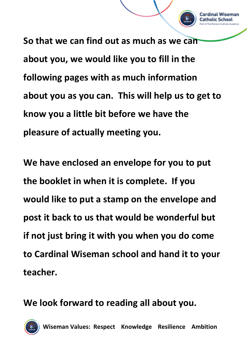**So that we can find out as much as we can about you, we would like you to fill in the following pages with as much information about you as you can. This will help us to get to know you a little bit before we have the pleasure of actually meeting you.**

Cardinal Wiseman Catholic School

**We have enclosed an envelope for you to put the booklet in when it is complete. If you would like to put a stamp on the envelope and post it back to us that would be wonderful but if not just bring it with you when you do come to Cardinal Wiseman school and hand it to your teacher.**

**We look forward to reading all about you.**

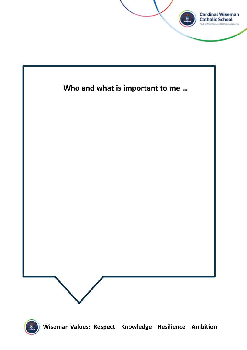



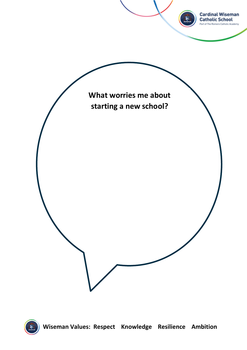

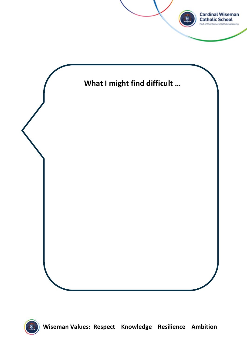

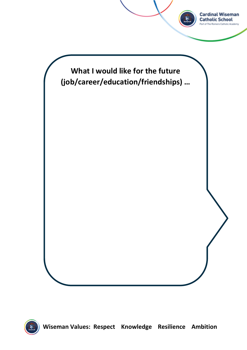

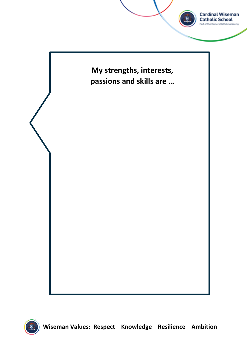

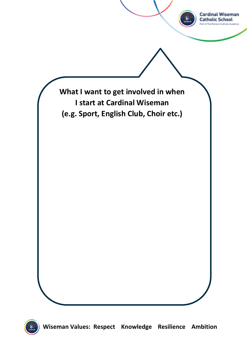

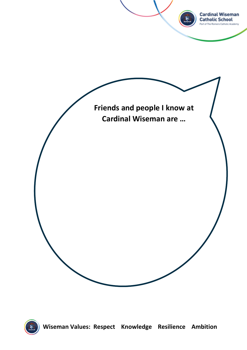